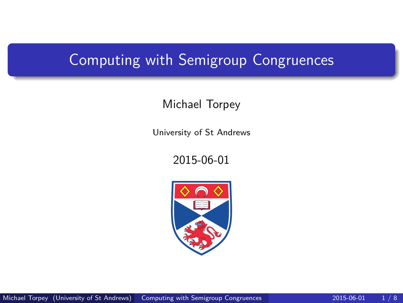## <span id="page-0-0"></span>Computing with Semigroup Congruences

#### Michael Torpey

University of St Andrews

2015-06-01

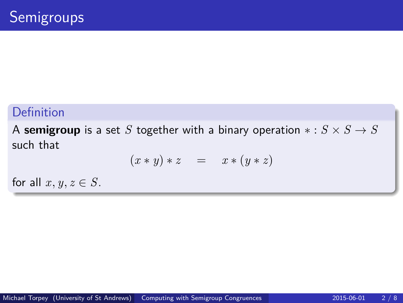#### Definition

A **semigroup** is a set *S* together with a binary operation  $* : S \times S \rightarrow S$ such that

$$
(x * y) * z = x * (y * z)
$$

for all  $x, y, z \in S$ .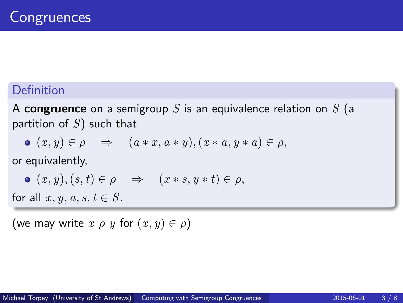### Definition

A **congruence** on a semigroup *S* is an equivalence relation on *S* (a partition of *S*) such that

$$
\bullet \ (x, y) \in \rho \quad \Rightarrow \quad (a * x, a * y), (x * a, y * a) \in \rho,
$$

or equivalently,

$$
\bullet \ (x, y), (s, t) \in \rho \quad \Rightarrow \quad (x * s, y * t) \in \rho,
$$

for all  $x, y, a, s, t \in S$ .

(we may write  $x \rho y$  for  $(x, y) \in \rho$ )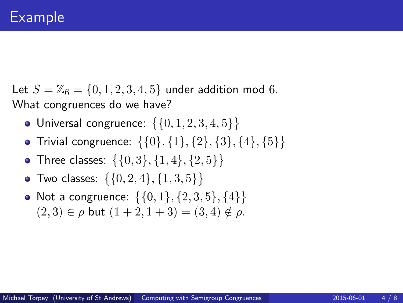Let  $S = \mathbb{Z}_6 = \{0, 1, 2, 3, 4, 5\}$  under addition mod 6. What congruences do we have?

- $\n$  Universal congruence:  $\{\{0,1,2,3,4,5\}\}\$
- Trivial congruence: {0}*,* {1}*,* {2}*,* {3}*,* {4}*,* {5}
- $\text{Three classes: } \{\{0,3\},\{1,4\},\{2,5\}\}$
- $Two classes: \ \{\{0,2,4\},\{1,3,5\}\}$
- Not a congruence:  $\{\{0,1\},\{2,3,5\},\{4\}\}\$  $(2, 3) \in \rho$  but  $(1 + 2, 1 + 3) = (3, 4) \notin \rho$ .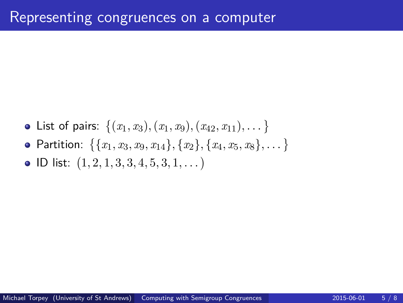List of pairs:  $\{(x_1, x_3), (x_1, x_9), (x_{42}, x_{11}), \dots\}$  ${\sf Partition:} \ \ \{\{x_1, x_3, x_9, x_{14}\}, \{x_2\}, \{x_4, x_5, x_8\}, \dots\}$ ID list: 1*,* 2*,* 1*,* 3*,* 3*,* 4*,* 5*,* 3*,* 1*, . . .*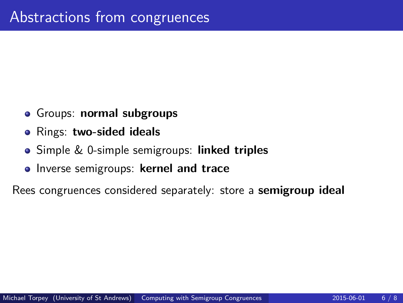- Groups: **normal subgroups**
- Rings: **two-sided ideals**
- Simple & 0-simple semigroups: **linked triples**
- **•** Inverse semigroups: **kernel and trace**

Rees congruences considered separately: store a **semigroup ideal**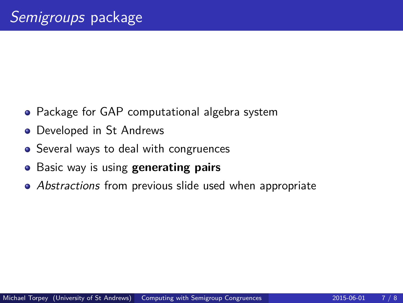- Package for GAP computational algebra system
- Developed in St Andrews
- Several ways to deal with congruences
- **•** Basic way is using **generating pairs**
- Abstractions from previous slide used when appropriate